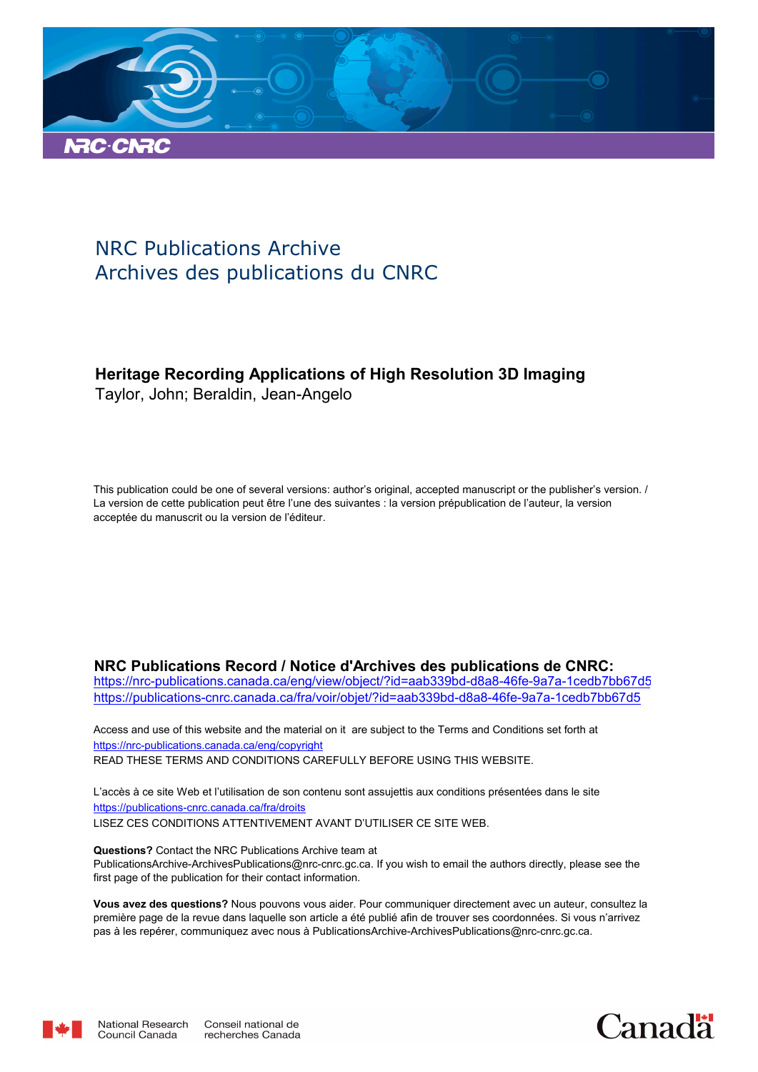

# NRC Publications Archive Archives des publications du CNRC

# **Heritage Recording Applications of High Resolution 3D Imaging**

Taylor, John; Beraldin, Jean-Angelo

This publication could be one of several versions: author's original, accepted manuscript or the publisher's version. / La version de cette publication peut être l'une des suivantes : la version prépublication de l'auteur, la version acceptée du manuscrit ou la version de l'éditeur.

# **NRC Publications Record / Notice d'Archives des publications de CNRC:**

https://nrc-publications.canada.ca/eng/view/object/?id=aab339bd-d8a8-46fe-9a7a-1cedb7bb67d5 https://publications-cnrc.canada.ca/fra/voir/objet/?id=aab339bd-d8a8-46fe-9a7a-1cedb7bb67d5

READ THESE TERMS AND CONDITIONS CAREFULLY BEFORE USING THIS WEBSITE. https://nrc-publications.canada.ca/eng/copyright Access and use of this website and the material on it are subject to the Terms and Conditions set forth at

https://publications-cnrc.canada.ca/fra/droits L'accès à ce site Web et l'utilisation de son contenu sont assujettis aux conditions présentées dans le site LISEZ CES CONDITIONS ATTENTIVEMENT AVANT D'UTILISER CE SITE WEB.

**Questions?** Contact the NRC Publications Archive team at PublicationsArchive-ArchivesPublications@nrc-cnrc.gc.ca. If you wish to email the authors directly, please see the first page of the publication for their contact information.

**Vous avez des questions?** Nous pouvons vous aider. Pour communiquer directement avec un auteur, consultez la première page de la revue dans laquelle son article a été publié afin de trouver ses coordonnées. Si vous n'arrivez pas à les repérer, communiquez avec nous à PublicationsArchive-ArchivesPublications@nrc-cnrc.gc.ca.



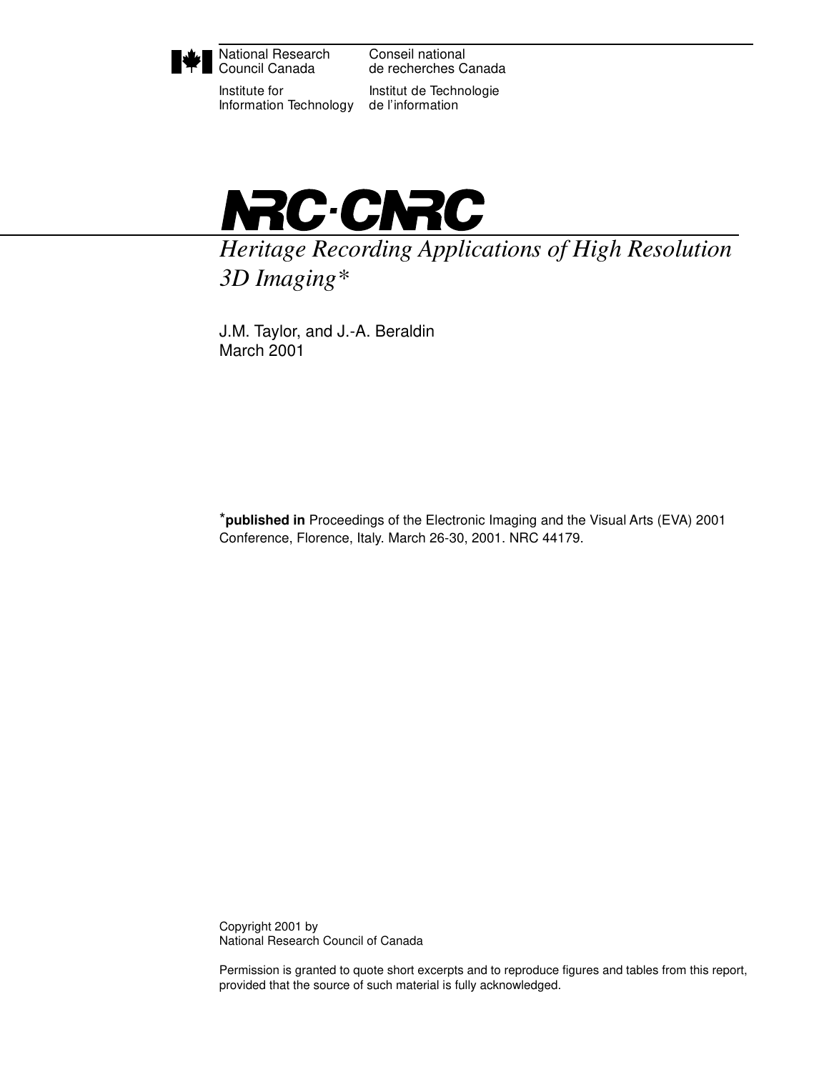

National Research Council Canada

Institute for Information Technology

Conseil national de recherches Canada

Institut de Technologie de l'information



*Heritage Recording Applications of High Resolution 3D Imaging\**

J.M. Taylor, and J.-A. Beraldin March 2001

\***published in** Proceedings of the Electronic Imaging and the Visual Arts (EVA) 2001 Conference, Florence, Italy. March 26-30, 2001. NRC 44179.

Copyright 2001 by National Research Council of Canada

Permission is granted to quote short excerpts and to reproduce figures and tables from this report, provided that the source of such material is fully acknowledged.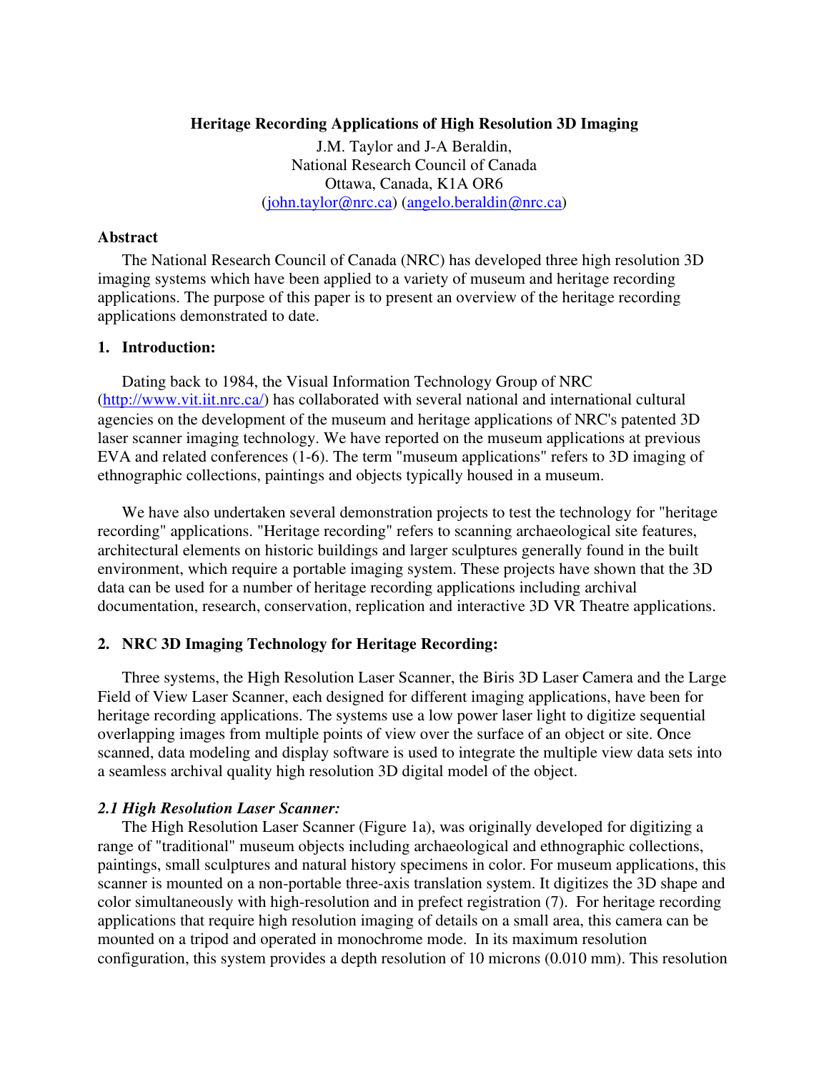# **Heritage Recording Applications of High Resolution 3D Imaging**

J.M. Taylor and J-A Beraldin, National Research Council of Canada Ottawa, Canada, K1A OR6 (john.taylor@nrc.ca) (angelo.beraldin@nrc.ca)

# **Abstract**

The National Research Council of Canada (NRC) has developed three high resolution 3D imaging systems which have been applied to a variety of museum and heritage recording applications. The purpose of this paper is to present an overview of the heritage recording applications demonstrated to date.

#### **1. Introduction:**

Dating back to 1984, the Visual Information Technology Group of NRC (http://www.vit.iit.nrc.ca/) has collaborated with several national and international cultural agencies on the development of the museum and heritage applications of NRC's patented 3D laser scanner imaging technology. We have reported on the museum applications at previous EVA and related conferences (1-6). The term "museum applications" refers to 3D imaging of ethnographic collections, paintings and objects typically housed in a museum.

We have also undertaken several demonstration projects to test the technology for "heritage recording" applications. "Heritage recording" refers to scanning archaeological site features, architectural elements on historic buildings and larger sculptures generally found in the built environment, which require a portable imaging system. These projects have shown that the 3D data can be used for a number of heritage recording applications including archival documentation, research, conservation, replication and interactive 3D VR Theatre applications.

## **2. NRC 3D Imaging Technology for Heritage Recording:**

Three systems, the High Resolution Laser Scanner, the Biris 3D Laser Camera and the Large Field of View Laser Scanner, each designed for different imaging applications, have been for heritage recording applications. The systems use a low power laser light to digitize sequential overlapping images from multiple points of view over the surface of an object or site. Once scanned, data modeling and display software is used to integrate the multiple view data sets into a seamless archival quality high resolution 3D digital model of the object.

## *2.1 High Resolution Laser Scanner:*

The High Resolution Laser Scanner (Figure 1a), was originally developed for digitizing a range of "traditional" museum objects including archaeological and ethnographic collections, paintings, small sculptures and natural history specimens in color. For museum applications, this scanner is mounted on a non-portable three-axis translation system. It digitizes the 3D shape and color simultaneously with high-resolution and in prefect registration (7). For heritage recording applications that require high resolution imaging of details on a small area, this camera can be mounted on a tripod and operated in monochrome mode. In its maximum resolution configuration, this system provides a depth resolution of 10 microns (0.010 mm). This resolution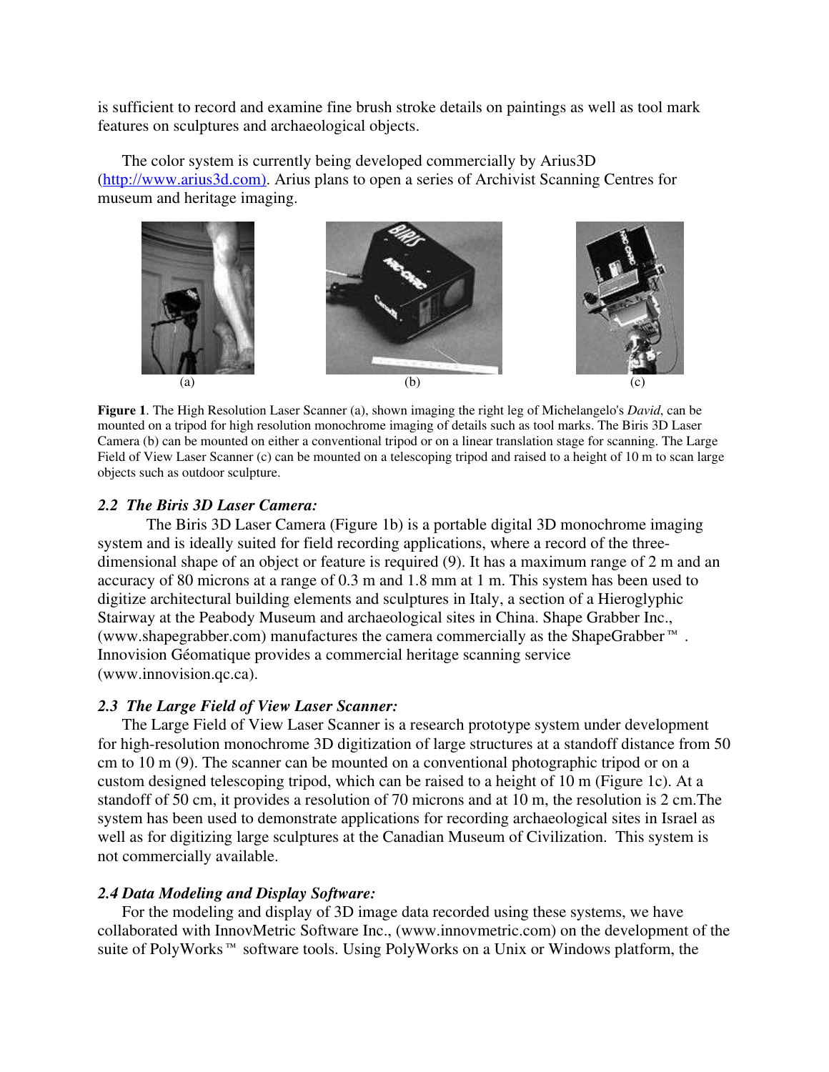is sufficient to record and examine fine brush stroke details on paintings as well as tool mark features on sculptures and archaeological objects.

The color system is currently being developed commercially by Arius3D (http://www.arius3d.com). Arius plans to open a series of Archivist Scanning Centres for museum and heritage imaging.



**Figure 1**. The High Resolution Laser Scanner (a), shown imaging the right leg of Michelangelo's *David*, can be mounted on a tripod for high resolution monochrome imaging of details such as tool marks. The Biris 3D Laser Camera (b) can be mounted on either a conventional tripod or on a linear translation stage for scanning. The Large Field of View Laser Scanner (c) can be mounted on a telescoping tripod and raised to a height of 10 m to scan large objects such as outdoor sculpture.

# *2.2 The Biris 3D Laser Camera:*

The Biris 3D Laser Camera (Figure 1b) is a portable digital 3D monochrome imaging system and is ideally suited for field recording applications, where a record of the threedimensional shape of an object or feature is required (9). It has a maximum range of 2 m and an accuracy of 80 microns at a range of 0.3 m and 1.8 mm at 1 m. This system has been used to digitize architectural building elements and sculptures in Italy, a section of a Hieroglyphic Stairway at the Peabody Museum and archaeological sites in China. Shape Grabber Inc., (www.shapegrabber.com) manufactures the camera commercially as the ShapeGrabber™ . Innovision Géomatique provides a commercial heritage scanning service (www.innovision.qc.ca).

# *2.3 The Large Field of View Laser Scanner:*

The Large Field of View Laser Scanner is a research prototype system under development for high-resolution monochrome 3D digitization of large structures at a standoff distance from 50 cm to 10 m (9). The scanner can be mounted on a conventional photographic tripod or on a custom designed telescoping tripod, which can be raised to a height of 10 m (Figure 1c). At a standoff of 50 cm, it provides a resolution of 70 microns and at 10 m, the resolution is 2 cm.The system has been used to demonstrate applications for recording archaeological sites in Israel as well as for digitizing large sculptures at the Canadian Museum of Civilization. This system is not commercially available.

# *2.4 Data Modeling and Display Software:*

For the modeling and display of 3D image data recorded using these systems, we have collaborated with InnovMetric Software Inc., (www.innovmetric.com) on the development of the suite of PolyWorks™ software tools. Using PolyWorks on a Unix or Windows platform, the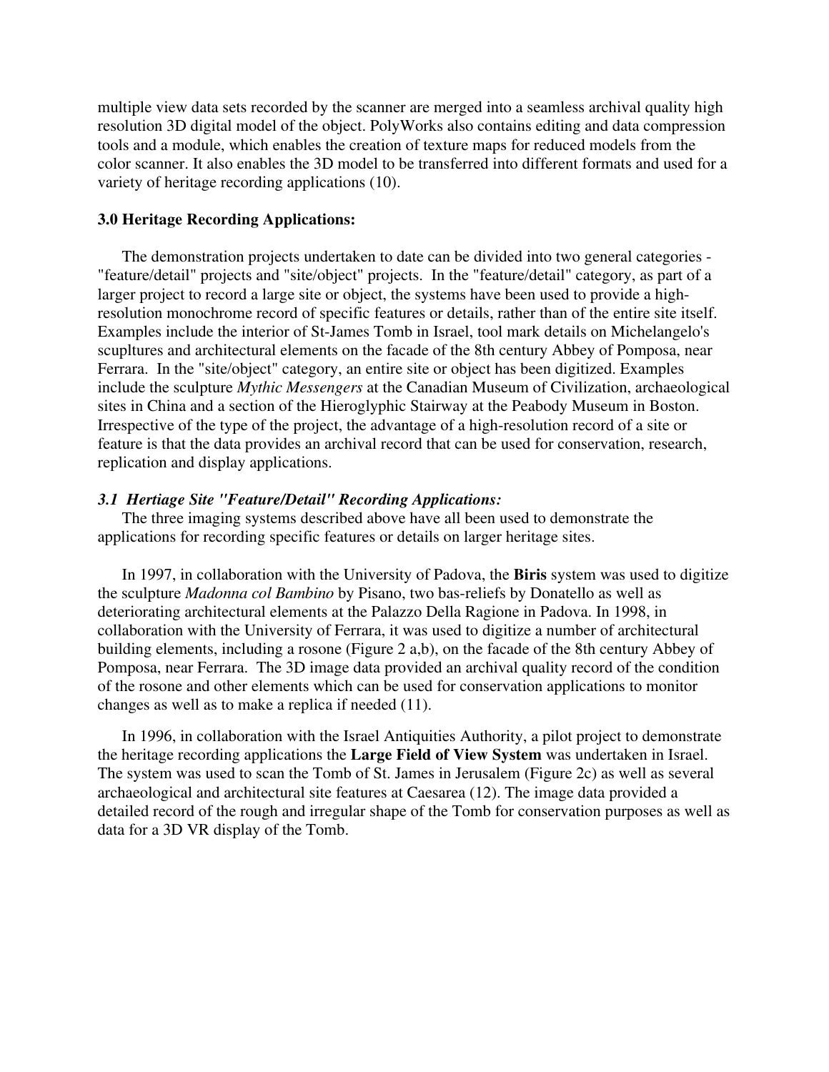multiple view data sets recorded by the scanner are merged into a seamless archival quality high resolution 3D digital model of the object. PolyWorks also contains editing and data compression tools and a module, which enables the creation of texture maps for reduced models from the color scanner. It also enables the 3D model to be transferred into different formats and used for a variety of heritage recording applications (10).

#### **3.0 Heritage Recording Applications:**

The demonstration projects undertaken to date can be divided into two general categories - "feature/detail" projects and "site/object" projects. In the "feature/detail" category, as part of a larger project to record a large site or object, the systems have been used to provide a highresolution monochrome record of specific features or details, rather than of the entire site itself. Examples include the interior of St-James Tomb in Israel, tool mark details on Michelangelo's scupltures and architectural elements on the facade of the 8th century Abbey of Pomposa, near Ferrara. In the "site/object" category, an entire site or object has been digitized. Examples include the sculpture *Mythic Messengers* at the Canadian Museum of Civilization, archaeological sites in China and a section of the Hieroglyphic Stairway at the Peabody Museum in Boston. Irrespective of the type of the project, the advantage of a high-resolution record of a site or feature is that the data provides an archival record that can be used for conservation, research, replication and display applications.

# *3.1 Hertiage Site "Feature/Detail" Recording Applications:*

The three imaging systems described above have all been used to demonstrate the applications for recording specific features or details on larger heritage sites.

In 1997, in collaboration with the University of Padova, the **Biris** system was used to digitize the sculpture *Madonna col Bambino* by Pisano, two bas-reliefs by Donatello as well as deteriorating architectural elements at the Palazzo Della Ragione in Padova. In 1998, in collaboration with the University of Ferrara, it was used to digitize a number of architectural building elements, including a rosone (Figure 2 a,b), on the facade of the 8th century Abbey of Pomposa, near Ferrara. The 3D image data provided an archival quality record of the condition of the rosone and other elements which can be used for conservation applications to monitor changes as well as to make a replica if needed (11).

In 1996, in collaboration with the Israel Antiquities Authority, a pilot project to demonstrate the heritage recording applications the **Large Field of View System** was undertaken in Israel. The system was used to scan the Tomb of St. James in Jerusalem (Figure 2c) as well as several archaeological and architectural site features at Caesarea (12). The image data provided a detailed record of the rough and irregular shape of the Tomb for conservation purposes as well as data for a 3D VR display of the Tomb.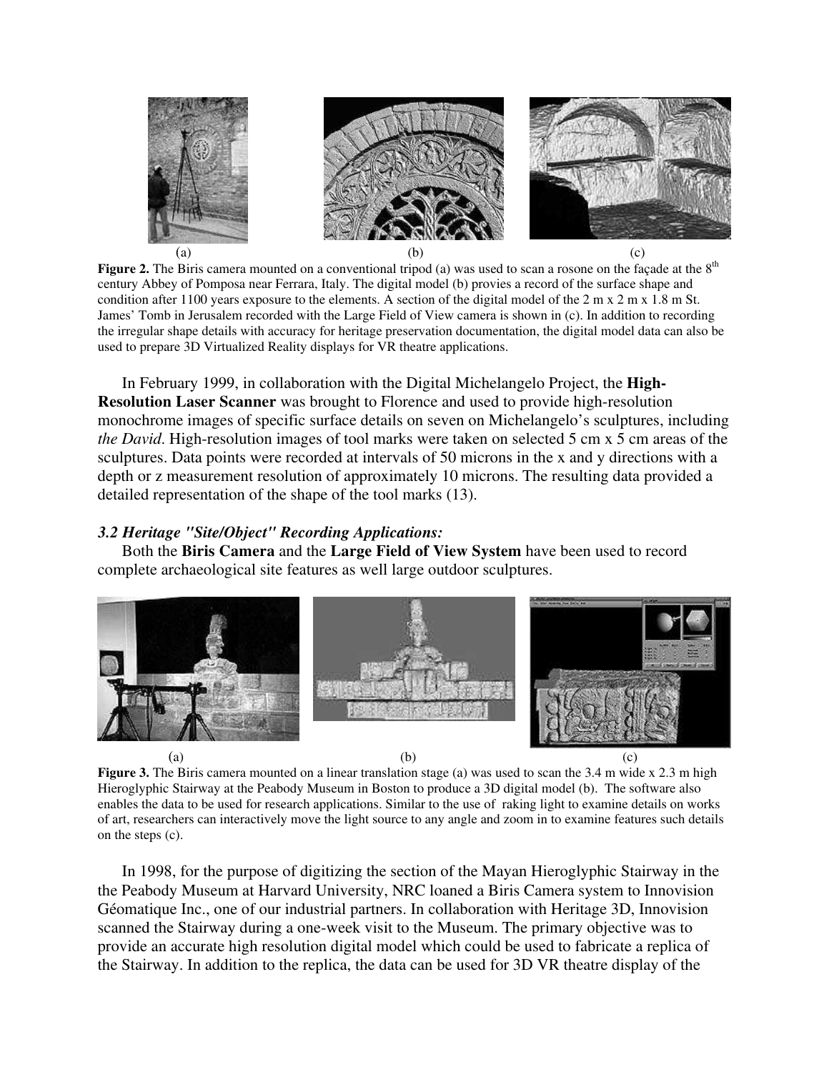

**Figure 2.** The Biris camera mounted on a conventional tripod (a) was used to scan a rosone on the façade at the 8<sup>th</sup> century Abbey of Pomposa near Ferrara, Italy. The digital model (b) provies a record of the surface shape and condition after 1100 years exposure to the elements. A section of the digital model of the  $2 \text{ m} \times 2 \text{ m} \times 1.8 \text{ m}$  St. James' Tomb in Jerusalem recorded with the Large Field of View camera is shown in (c). In addition to recording the irregular shape details with accuracy for heritage preservation documentation, the digital model data can also be used to prepare 3D Virtualized Reality displays for VR theatre applications.

In February 1999, in collaboration with the Digital Michelangelo Project, the **High-Resolution Laser Scanner** was brought to Florence and used to provide high-resolution monochrome images of specific surface details on seven on Michelangelo's sculptures, including *the David*. High-resolution images of tool marks were taken on selected 5 cm x 5 cm areas of the sculptures. Data points were recorded at intervals of 50 microns in the x and y directions with a depth or z measurement resolution of approximately 10 microns. The resulting data provided a detailed representation of the shape of the tool marks (13).

## *3.2 Heritage "Site/Object" Recording Applications:*

Both the **Biris Camera** and the **Large Field of View System** have been used to record complete archaeological site features as well large outdoor sculptures.



**Figure 3.** The Biris camera mounted on a linear translation stage (a) was used to scan the 3.4 m wide x 2.3 m high Hieroglyphic Stairway at the Peabody Museum in Boston to produce a 3D digital model (b). The software also enables the data to be used for research applications. Similar to the use of raking light to examine details on works of art, researchers can interactively move the light source to any angle and zoom in to examine features such details on the steps (c).

In 1998, for the purpose of digitizing the section of the Mayan Hieroglyphic Stairway in the the Peabody Museum at Harvard University, NRC loaned a Biris Camera system to Innovision Géomatique Inc., one of our industrial partners. In collaboration with Heritage 3D, Innovision scanned the Stairway during a one-week visit to the Museum. The primary objective was to provide an accurate high resolution digital model which could be used to fabricate a replica of the Stairway. In addition to the replica, the data can be used for 3D VR theatre display of the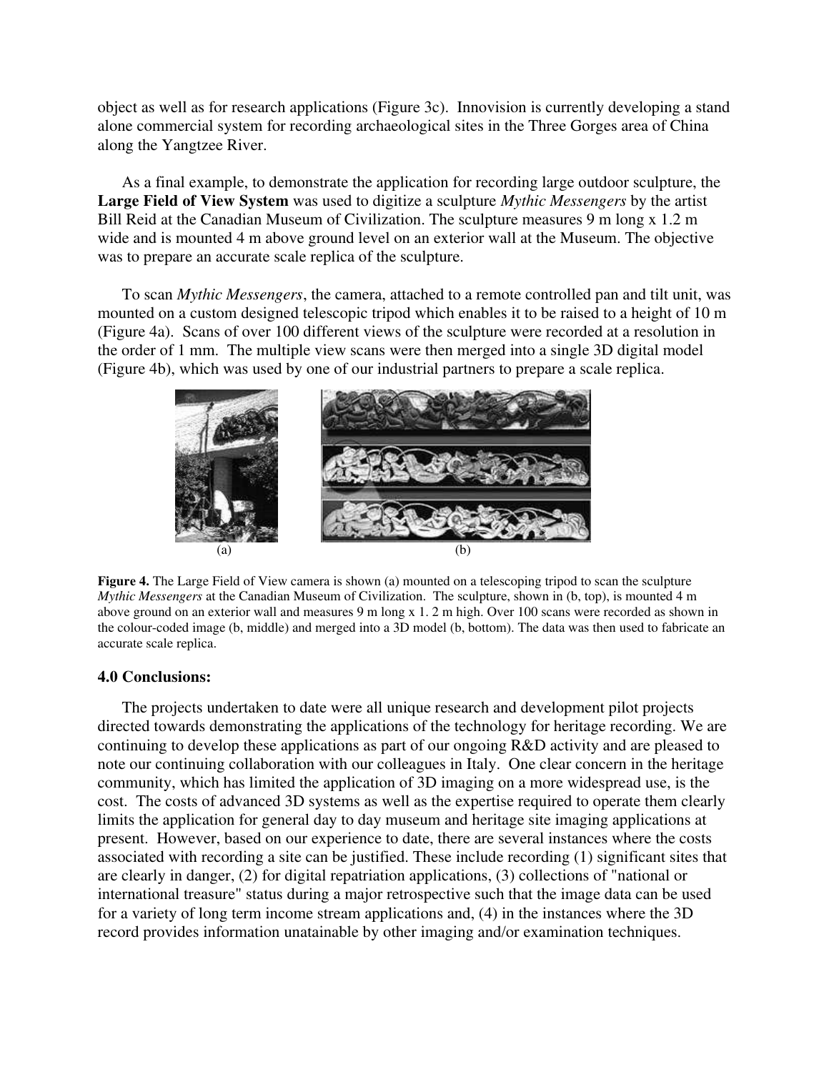object as well as for research applications (Figure 3c). Innovision is currently developing a stand alone commercial system for recording archaeological sites in the Three Gorges area of China along the Yangtzee River.

As a final example, to demonstrate the application for recording large outdoor sculpture, the **Large Field of View System** was used to digitize a sculpture *Mythic Messengers* by the artist Bill Reid at the Canadian Museum of Civilization. The sculpture measures 9 m long x 1.2 m wide and is mounted 4 m above ground level on an exterior wall at the Museum. The objective was to prepare an accurate scale replica of the sculpture.

To scan *Mythic Messengers*, the camera, attached to a remote controlled pan and tilt unit, was mounted on a custom designed telescopic tripod which enables it to be raised to a height of 10 m (Figure 4a). Scans of over 100 different views of the sculpture were recorded at a resolution in the order of 1 mm. The multiple view scans were then merged into a single 3D digital model (Figure 4b), which was used by one of our industrial partners to prepare a scale replica.



**Figure 4.** The Large Field of View camera is shown (a) mounted on a telescoping tripod to scan the sculpture *Mythic Messengers* at the Canadian Museum of Civilization. The sculpture, shown in (b, top), is mounted 4 m above ground on an exterior wall and measures 9 m long x 1. 2 m high. Over 100 scans were recorded as shown in the colour-coded image (b, middle) and merged into a 3D model (b, bottom). The data was then used to fabricate an accurate scale replica.

## **4.0 Conclusions:**

The projects undertaken to date were all unique research and development pilot projects directed towards demonstrating the applications of the technology for heritage recording. We are continuing to develop these applications as part of our ongoing R&D activity and are pleased to note our continuing collaboration with our colleagues in Italy. One clear concern in the heritage community, which has limited the application of 3D imaging on a more widespread use, is the cost. The costs of advanced 3D systems as well as the expertise required to operate them clearly limits the application for general day to day museum and heritage site imaging applications at present. However, based on our experience to date, there are several instances where the costs associated with recording a site can be justified. These include recording (1) significant sites that are clearly in danger, (2) for digital repatriation applications, (3) collections of "national or international treasure" status during a major retrospective such that the image data can be used for a variety of long term income stream applications and, (4) in the instances where the 3D record provides information unatainable by other imaging and/or examination techniques.